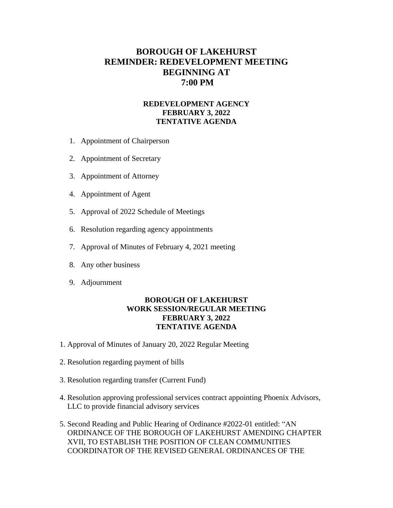### **BOROUGH OF LAKEHURST REMINDER: REDEVELOPMENT MEETING BEGINNING AT 7:00 PM**

#### **REDEVELOPMENT AGENCY FEBRUARY 3, 2022 TENTATIVE AGENDA**

- 1. Appointment of Chairperson
- 2. Appointment of Secretary
- 3. Appointment of Attorney
- 4. Appointment of Agent
- 5. Approval of 2022 Schedule of Meetings
- 6. Resolution regarding agency appointments
- 7. Approval of Minutes of February 4, 2021 meeting
- 8. Any other business
- 9. Adjournment

#### **BOROUGH OF LAKEHURST WORK SESSION/REGULAR MEETING FEBRUARY 3, 2022 TENTATIVE AGENDA**

- 1. Approval of Minutes of January 20, 2022 Regular Meeting
- 2. Resolution regarding payment of bills
- 3. Resolution regarding transfer (Current Fund)
- 4. Resolution approving professional services contract appointing Phoenix Advisors, LLC to provide financial advisory services
- 5. Second Reading and Public Hearing of Ordinance #2022-01 entitled: "AN ORDINANCE OF THE BOROUGH OF LAKEHURST AMENDING CHAPTER XVII, TO ESTABLISH THE POSITION OF CLEAN COMMUNITIES COORDINATOR OF THE REVISED GENERAL ORDINANCES OF THE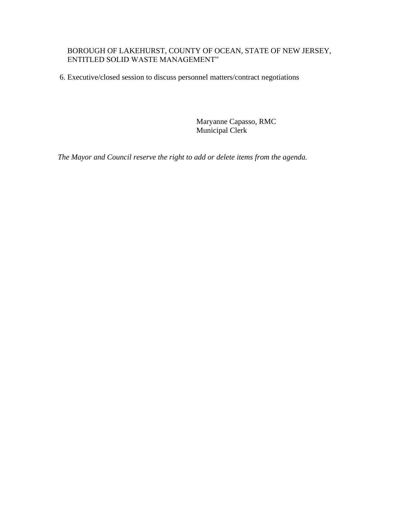#### BOROUGH OF LAKEHURST, COUNTY OF OCEAN, STATE OF NEW JERSEY, ENTITLED SOLID WASTE MANAGEMENT"

6. Executive/closed session to discuss personnel matters/contract negotiations

Maryanne Capasso, RMC Municipal Clerk

*The Mayor and Council reserve the right to add or delete items from the agenda.*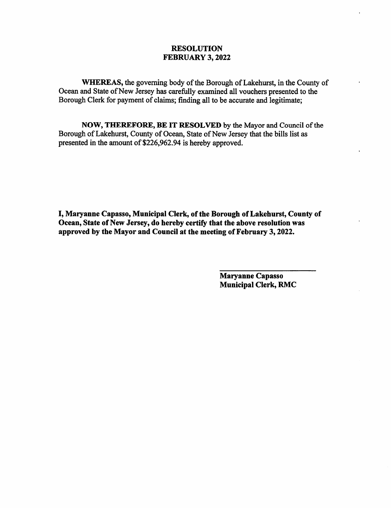#### **RESOLUTION FEBRUARY 3, 2022**

**WHEREAS, the governing body of the Borough of Lakehurst, in the County of** Ocean and State of New Jersey has carefully examined all vouchers presented to the Borough Clerk for payment of claims; finding all to be accurate and legitimate;

NOW, THEREFORE, BE IT RESOLVED by the Mayor and Council of the Borough of Lakehurst, County of Ocean, State of New Jersey that the bills list as presented in the amount of \$226,962.94 is hereby approved.

I, Maryanne Capasso, Municipal Clerk, of the Borough of Lakehurst, County of Ocean, State of New Jersey, do hereby certify that the above resolution was approved by the Mayor and Council at the meeting of February 3, 2022.

> **Maryanne Capasso Municipal Clerk, RMC**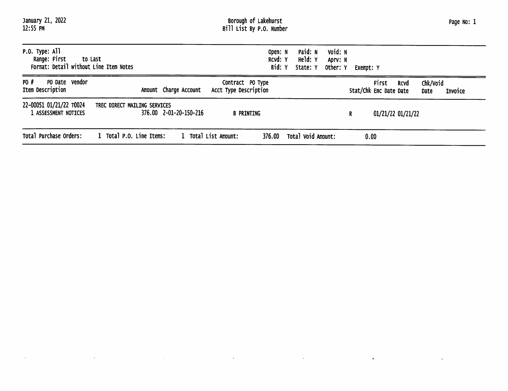| January 21, 2022<br>12:55 PM                                                          | Borough of Lakehurst<br>Bill List By P.O. Number                                                                                  | Page No: 1 |
|---------------------------------------------------------------------------------------|-----------------------------------------------------------------------------------------------------------------------------------|------------|
| $P.0.$ Type: All<br>Range: First<br>to Last<br>Format: Detail without Line Item Notes | Paid: N<br>Void: N<br>Open: N<br>Held: Y<br>RCVd: Y<br>Aprv: N<br>Bid: Y<br>State: Y<br>Other: Y<br>Exempt: Y                     |            |
| PO #<br>PO Date Vendor<br>Item Description                                            | First<br>Chk/Void<br>Contract PO Type<br>Rcvd<br>Amount Charge Account<br>Acct Type Description<br>Stat/Chk Enc Date Date<br>Date | Invoice    |
| 22-00051 01/21/22 T0024<br>1 ASSESSMENT NOTICES                                       | TREC DIRECT MAILING SERVICES<br>376.00 2-01-20-150-216<br><b>B PRINTING</b><br>01/21/22 01/21/22<br>R                             |            |
| Total Purchase Orders:                                                                | 1 Total P.O. Line Items:<br>1 Total List Amount:<br>Total Void Amount:<br>376.00<br>0.00                                          |            |

 $\sim 10^{11}$ 

 $\mathcal{L}^{\mathcal{L}}(\mathcal{L}^{\mathcal{L}}(\mathcal{L}^{\mathcal{L}}(\mathcal{L}^{\mathcal{L}}(\mathcal{L}^{\mathcal{L}}(\mathcal{L}^{\mathcal{L}}(\mathcal{L}^{\mathcal{L}}(\mathcal{L}^{\mathcal{L}}(\mathcal{L}^{\mathcal{L}}(\mathcal{L}^{\mathcal{L}}(\mathcal{L}^{\mathcal{L}}(\mathcal{L}^{\mathcal{L}}(\mathcal{L}^{\mathcal{L}}(\mathcal{L}^{\mathcal{L}}(\mathcal{L}^{\mathcal{L}}(\mathcal{L}^{\mathcal{L}}(\mathcal{L}^{\mathcal{L$ 

 $\mathcal{L}^{\text{max}}_{\text{max}}$ 

 $\mathcal{L}^{\text{max}}_{\text{max}}$  and  $\mathcal{L}^{\text{max}}_{\text{max}}$  . The set of  $\mathcal{L}^{\text{max}}_{\text{max}}$ 

 $\mathcal{L}(\mathcal{L})$  and  $\mathcal{L}(\mathcal{L})$  .

 $\mathcal{L}^{\mathcal{L}}(\mathbf{z},\mathbf{z})$  .

 $\sim 100$  km  $^{-1}$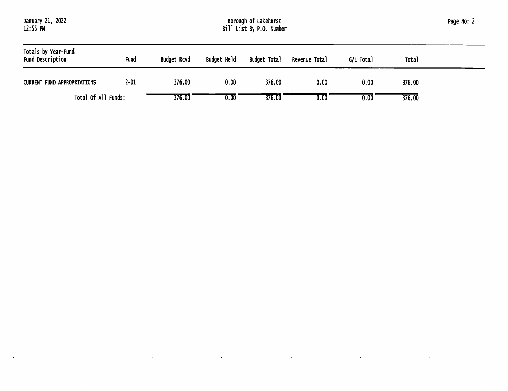$\sim$ 

 $\sim$ 

 $\langle \cdot \rangle$ 

 $\sim$ 

 $\mathcal{L}$ 

 $\sim$ 

| Totals by Year-Fund<br><b>Fund Description</b> | <b>Fund</b> | <b>Budget Rcvd</b> | Budget Held | Budget Total | Revenue Total | G/L Total | Tota)  |
|------------------------------------------------|-------------|--------------------|-------------|--------------|---------------|-----------|--------|
| <b>CURRENT FUND APPROPRIATIONS</b>             | $2 - 01$    | 376.00             | 0.00        | 376.00       | 0.00          | 0.00      | 376.00 |
| Total Of All Funds:                            |             | 376.00             | $0.00\,$    | 376.00       | 0.00          | 0.00      | 376.00 |

 $\mathcal{L}^{\mathcal{A}}$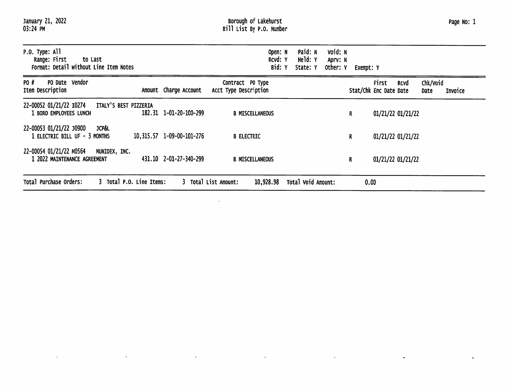$\langle \cdot \rangle$ 

 $\langle \cdot \rangle$ 

| $P.0.$ Type: All<br>Range: First<br>to Last<br>Format: Detail without Line Item Notes |                            | Paid: N<br>Open: N<br>Held: Y<br>RCVd: Y<br>Bid: Y<br>State: Y | Void: N<br>Aprv: N<br>Other: Y<br>Exempt: Y |                                                                               |
|---------------------------------------------------------------------------------------|----------------------------|----------------------------------------------------------------|---------------------------------------------|-------------------------------------------------------------------------------|
| PO Date Vendor<br>PO #<br>Item Description                                            | Amount Charge Account      | Contract PO Type<br>Acct Type Description                      |                                             | Chk/Void<br>First<br>RCVd<br>Stat/Chk Enc Date Date<br>Invoice<br><b>Date</b> |
| 22-00052 01/21/22 10274<br>ITALY'S BEST PIZZERIA<br>1 BORO EMPLOYEES LUNCH            | 182.31 1-01-20-100-299     | <b>B MISCELLANEOUS</b>                                         | R.                                          | 01/21/22 01/21/22                                                             |
| 22-00053 01/21/22 J0900<br><b>JCP&amp;L</b><br>1 ELECTRIC BILL UF - 3 MONTHS          | 10, 315.57 1-09-00-101-276 | <b>B ELECTRIC</b>                                              | R.                                          | 01/21/22 01/21/22                                                             |
| 22-00054 01/21/22 MO564<br>MUNIDEX, INC.<br>1 2022 MAINTENANCE AGREEMENT              | 431.10 2-01-27-340-299     | <b>B MISCELLANEOUS</b>                                         | R                                           | 01/21/22 01/21/22                                                             |
| 3 Total P.O. Line Items:<br>Total Purchase Orders:                                    |                            | 3 Total List Amount:<br>10,928.98                              | Total Void Amount:<br>0.00                  |                                                                               |

 $\sim$ 

 $\langle \bullet \rangle$ 

 $\bullet$ 

 $\bullet$ 

 $\lambda$ 

 $\bullet$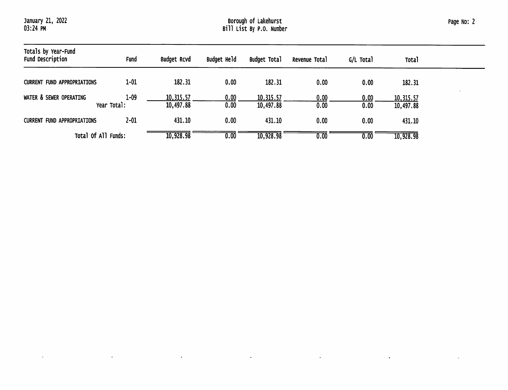$\mathcal{L}$ 

 $\langle \cdot \rangle$ 

 $\sim$ 

| Totals by Year-Fund<br>Fund Description | Fund                    | <b>Budget Rcvd</b>     | Budget Held  | <b>Budget Total</b>    | Revenue Total | G/L Total    | <b>Total</b>           |
|-----------------------------------------|-------------------------|------------------------|--------------|------------------------|---------------|--------------|------------------------|
| <b>CURRENT FUND APPROPRIATIONS</b>      | $1 - 01$                | 182.31                 | 0.00         | 182.31                 | 0.00          | 0.00         | 182.31                 |
| WATER & SEWER OPERATING                 | $1 - 09$<br>Year Total: | 10,315.57<br>10,497.88 | 0.00<br>0.00 | 10,315.57<br>10,497.88 | 0.00<br>0.00  | 0.00<br>0.00 | 10,315.57<br>10,497.88 |
| <b>CURRENT FUND APPROPRIATIONS</b>      | $2 - 01$                | 431.10                 | 0.00         | 431.10                 | 0.00          | 0.00         | 431.10                 |
| Total Of All Funds:                     |                         | 10,928.98              | 0.00         | 10,928.98              | 0.00          | 0.00         | 10,928.98              |

 $\langle \cdot \rangle$ 

 $\langle \bullet \rangle$ 

 $\sim$ 

 $\mathcal{L}$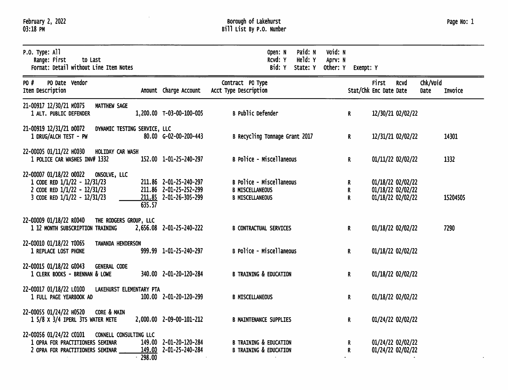| P.O. Type: All<br>Range: First<br>to Last<br>Format: Detail without Line Item Notes                                                                |                                                                            | Paid: N<br>Open: N<br>Held: Y<br>RCVd: Y<br>Bid: Y<br>State: Y                      | Void: N<br>Aprv: N<br>Other: Y | Exempt: Y                                                   |                             |
|----------------------------------------------------------------------------------------------------------------------------------------------------|----------------------------------------------------------------------------|-------------------------------------------------------------------------------------|--------------------------------|-------------------------------------------------------------|-----------------------------|
| PO #<br>PO Date Vendor<br>Item Description                                                                                                         | Amount Charge Account                                                      | Contract PO Type<br>Acct Type Description                                           |                                | <b>First</b><br>RCVd<br>Stat/Chk Enc Date Date              | Chk/Void<br>Invoice<br>Date |
| 21-00917 12/30/21 M0075<br><b>MATTHEW SAGE</b><br>1 ALT. PUBLIC DEFENDER                                                                           | 1,200.00 T-03-00-100-005                                                   | <b>B</b> Public Defender                                                            | $\mathbf{R}$                   | 12/30/21 02/02/22                                           |                             |
| 21-00919 12/31/21 D0072<br>DYNAMIC TESTING SERVICE, LLC<br>1 DRUG/ALCH TEST - PW                                                                   | 80.00 G-02-00-200-443                                                      | B Recycling Tonnage Grant 2017                                                      | $\mathbf R$                    | 12/31/21 02/02/22                                           | 14301                       |
| 22-00005 01/11/22 H0030 HOLIDAY CAR WASH<br>1 POLICE CAR WASHES INV# 1332                                                                          | 152.00 1-01-25-240-297                                                     | B Police - Miscellaneous                                                            | $\mathbf{R}$                   | 01/11/22 02/02/22                                           | 1332                        |
| 22-00007 01/18/22 00022 ONSOLVE, LLC<br>1 CODE RED $1/1/22 - 12/31/23$<br>2 CODE RED 1/1/22 - 12/31/23<br>3 CODE RED $1/1/22 - 12/31/23$<br>635.57 | 211.86 2-01-25-240-297<br>211.86 2-01-25-252-299<br>211.85 2-01-26-305-299 | <b>B Police - Miscellaneous</b><br><b>B MISCELLANEOUS</b><br><b>B MISCELLANEOUS</b> | R<br>R<br>R.                   | 01/18/22 02/02/22<br>01/18/22 02/02/22<br>01/18/22 02/02/22 | 15204505                    |
| 22-00009 01/18/22 R0040<br>THE RODGERS GROUP, LLC<br>1 12 MONTH SUBSCRIPTION TRAINING                                                              | 2,656.08 2-01-25-240-222                                                   | <b>B CONTRACTUAL SERVICES</b>                                                       | R.                             | 01/18/22 02/02/22                                           | 7290                        |
| 22-00010 01/18/22 T0065<br><b>TAWANDA HENDERSON</b><br>1 REPLACE LOST PHONE                                                                        | 999.99 1-01-25-240-297                                                     | B Police - Miscellaneous                                                            | $\mathbf{R}$                   | 01/18/22 02/02/22                                           |                             |
| 22-00015 01/18/22 G0043<br><b>GENERAL CODE</b><br>1 CLERK BOOKS - BRENNAN & LOWE                                                                   | 340.00 2-01-20-120-284                                                     | <b>B TRAINING &amp; EDUCATION</b>                                                   | R.                             | 01/18/22 02/02/22                                           |                             |
| 22-00017 01/18/22 L0100<br>LAKEHURST ELEMENTARY PTA<br>1 FULL PAGE YEARBOOK AD                                                                     | 100.00 2-01-20-120-299                                                     | <b>B MISCELLANEOUS</b>                                                              | R.                             | 01/18/22 02/02/22                                           |                             |
| 22-00055 01/24/22 H0520<br><b>CORE &amp; MAIN</b><br>1 5/8 x 3/4 IPERL 3TS WATER METE                                                              | 2,000.00 2-09-00-101-212                                                   | <b>B MAINTENANCE SUPPLIES</b>                                                       | R.                             | 01/24/22 02/02/22                                           |                             |
| 22-00056 01/24/22 C0101<br>CONNELL CONSULTING LLC<br>1 OPRA FOR PRACTITIONERS SEMINAR<br>2 OPRA FOR PRACTITIONERS SEMINAR<br>298.00                | 149.00 2-01-20-120-284<br>149.00 2-01-25-240-284                           | <b>B TRAINING &amp; EDUCATION</b><br><b>B TRAINING &amp; EDUCATION</b>              | R<br>R                         | 01/24/22 02/02/22<br>01/24/22 02/02/22                      |                             |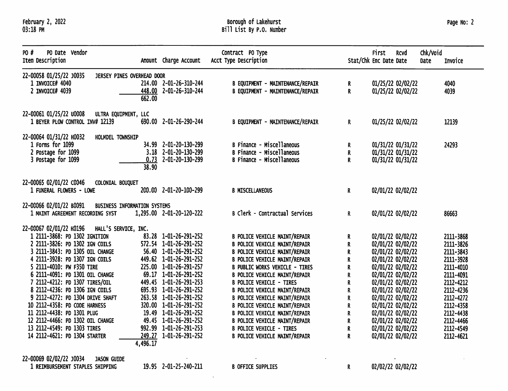## Borough of Lakehurst<br>Bill List By P.O. Number

| PO #<br>PO Date Vendor<br>Item Description                                                                                                                                                                                                                                                                                                                                                                                                                                                                                         | Amount Charge Account                                                                                                                                                                                                                                                                                                                                                           | Contract PO Type<br>Acct Type Description                                                                                                                                                                                                                                                                                                                                                                                                                                                                                                                           |                                                                    | <b>First</b><br>Stat/Chk Enc Date Date                                                                                                                                                                                                                                                             | <b>RCVd</b> | Chk/Void<br>Date | Invoice                                                                                                                                                                            |
|------------------------------------------------------------------------------------------------------------------------------------------------------------------------------------------------------------------------------------------------------------------------------------------------------------------------------------------------------------------------------------------------------------------------------------------------------------------------------------------------------------------------------------|---------------------------------------------------------------------------------------------------------------------------------------------------------------------------------------------------------------------------------------------------------------------------------------------------------------------------------------------------------------------------------|---------------------------------------------------------------------------------------------------------------------------------------------------------------------------------------------------------------------------------------------------------------------------------------------------------------------------------------------------------------------------------------------------------------------------------------------------------------------------------------------------------------------------------------------------------------------|--------------------------------------------------------------------|----------------------------------------------------------------------------------------------------------------------------------------------------------------------------------------------------------------------------------------------------------------------------------------------------|-------------|------------------|------------------------------------------------------------------------------------------------------------------------------------------------------------------------------------|
| 22-00058 01/25/22 J0035<br>JERSEY PINES OVERHEAD DOOR<br>1 INVOICE# 4040<br>2 INVOICE# 4039                                                                                                                                                                                                                                                                                                                                                                                                                                        | 214.00 2-01-26-310-244<br>448.00 2-01-26-310-244<br>662.00                                                                                                                                                                                                                                                                                                                      | B EQUIPMENT - MAINTENANCE/REPAIR<br><b>B EQUIPMENT - MAINTENANCE/REPAIR</b>                                                                                                                                                                                                                                                                                                                                                                                                                                                                                         | R<br>R                                                             | 01/25/22 02/02/22<br>01/25/22 02/02/22                                                                                                                                                                                                                                                             |             |                  | 4040<br>4039                                                                                                                                                                       |
| 22-00061 01/25/22 u0008<br>ULTRA EQUIPMENT, LLC<br>1 BEYER PLOW CONTROL INV# 12139                                                                                                                                                                                                                                                                                                                                                                                                                                                 | 690.00 2-01-26-290-244                                                                                                                                                                                                                                                                                                                                                          | B EQUIPMENT - MAINTENANCE/REPAIR                                                                                                                                                                                                                                                                                                                                                                                                                                                                                                                                    | R                                                                  | 01/25/22 02/02/22                                                                                                                                                                                                                                                                                  |             |                  | 12139                                                                                                                                                                              |
| 22-00064 01/31/22 H0032<br>HOLMDEL TOWNSHIP<br>1 Forms for 1099<br>2 Postage for 1099<br>3 Postage for 1099                                                                                                                                                                                                                                                                                                                                                                                                                        | 34.99 2-01-20-130-299<br>3.18 2-01-20-130-299<br>$0.73$ 2-01-20-130-299<br>38.90                                                                                                                                                                                                                                                                                                | B Finance - Miscellaneous<br>B Finance - Miscellaneous<br>B Finance - Miscellaneous                                                                                                                                                                                                                                                                                                                                                                                                                                                                                 | R<br>R<br>R                                                        | 01/31/22 01/31/22<br>01/31/22 01/31/22<br>01/31/22 01/31/22                                                                                                                                                                                                                                        |             |                  | 24293                                                                                                                                                                              |
| 22-00065 02/01/22 C0046<br>COLONIAL BOUQUET<br>1 FUNERAL FLOWERS - LOWE                                                                                                                                                                                                                                                                                                                                                                                                                                                            | 200.00 2-01-20-100-299                                                                                                                                                                                                                                                                                                                                                          | <b>B MISCELLANEOUS</b>                                                                                                                                                                                                                                                                                                                                                                                                                                                                                                                                              | $\mathbf{R}$                                                       | 02/01/22 02/02/22                                                                                                                                                                                                                                                                                  |             |                  |                                                                                                                                                                                    |
| 22-00066 02/01/22 B0091<br>BUSINESS INFORMATION SYSTEMS<br>1 MAINT AGREEMENT RECORDING SYST                                                                                                                                                                                                                                                                                                                                                                                                                                        | 1,295.00 2-01-20-120-222                                                                                                                                                                                                                                                                                                                                                        | B Clerk - Contractual Services                                                                                                                                                                                                                                                                                                                                                                                                                                                                                                                                      | R                                                                  | 02/01/22 02/02/22                                                                                                                                                                                                                                                                                  |             |                  | 86663                                                                                                                                                                              |
| 22-00067 02/01/22 H0196<br>HALL'S SERVICE, INC.<br>1 2111-3868: PD 1302 IGNITION<br>2 2111-3826: PD 1302 IGN COILS<br>3 2111-3843: PD 1305 OIL CHANGE<br>4 2111-3928: PD 1307 IGN COILS<br>5 2111-4010: PW F350 TIRE<br>6 2111-4091: PD 1301 OIL CHANGE<br>7 2112-4212: PD 1307 TIRES/OIL<br>8 2112-4236: PD 1306 IGN COILS<br>9 2112-4272: PD 1304 DRIVE SHAFT<br>10 2112-4358: PD CODE HARNESS<br>11 2112-4438: PD 1301 PLUG<br>12 2112-4466: PD 1302 OIL CHANGE<br>13 2112-4549: PD 1303 TIRES<br>14 2112-4621: PD 1304 STARTER | 83.28 1-01-26-291-252<br>572.54 1-01-26-291-252<br>56.40 1-01-26-291-252<br>449.62 1-01-26-291-252<br>225.00 1-01-26-291-257<br>69.17 1-01-26-291-252<br>449.45 1-01-26-291-253<br>695.93 1-01-26-291-252<br>263.58 1-01-26-291-252<br>320.00 1-01-26-291-252<br>19.49 1-01-26-291-252<br>49.45 1-01-26-291-252<br>992.99 1-01-26-291-253<br>249.27 1-01-26-291-252<br>4,496.17 | <b>B POLICE VEHICLE MAINT/REPAIR</b><br><b>B POLICE VEHICLE MAINT/REPAIR</b><br><b>B POLICE VEHICLE MAINT/REPAIR</b><br><b>B POLICE VEHICLE MAINT/REPAIR</b><br><b>B PUBLIC WORKS VEHICLE - TIRES</b><br><b>B POLICE VEHICLE MAINT/REPAIR</b><br><b>B POLICE VEHICLE - TIRES</b><br><b>B POLICE VEHICLE MAINT/REPAIR</b><br><b>B POLICE VEHICLE MAINT/REPAIR</b><br><b>B POLICE VEHICLE MAINT/REPAIR</b><br><b>B POLICE VEHICLE MAINT/REPAIR</b><br><b>B POLICE VEHICLE MAINT/REPAIR</b><br><b>B POLICE VEHICLE - TIRES</b><br><b>B POLICE VEHICLE MAINT/REPAIR</b> | R<br>R<br>R<br>R<br>R<br>R<br>R<br>R<br>R<br>R<br>R<br>R<br>R<br>R | 02/01/22 02/02/22<br>02/01/22 02/02/22<br>02/01/22 02/02/22<br>02/01/22 02/02/22<br>02/01/22 02/02/22<br>02/01/22 02/02/22<br>02/01/22 02/02/22<br>02/01/22 02/02/22<br>02/01/22 02/02/22<br>02/01/22 02/02/22<br>02/01/22 02/02/22<br>02/01/22 02/02/22<br>02/01/22 02/02/22<br>02/01/22 02/02/22 |             |                  | 2111-3868<br>2111-3826<br>2111-3843<br>2111-3928<br>2111-4010<br>2111-4091<br>2112-4212<br>2112-4236<br>2112-4272<br>2112-4358<br>2112-4438<br>2112-4466<br>2112-4549<br>2112-4621 |
| 22-00069 02/02/22 10034<br><b>JASON GUTDE</b>                                                                                                                                                                                                                                                                                                                                                                                                                                                                                      |                                                                                                                                                                                                                                                                                                                                                                                 |                                                                                                                                                                                                                                                                                                                                                                                                                                                                                                                                                                     |                                                                    |                                                                                                                                                                                                                                                                                                    |             |                  |                                                                                                                                                                                    |

22-00069 02/02/22 J0034 JASON GUIDE 1 REIMBURSEMENT STAPLES SHIPPING

19.95 2-01-25-240-211

 $\mathcal{A}^{\pm}$ 

**B OFFICE SUPPLIES** 

02/02/22 02/02/22

 $\mathbf R$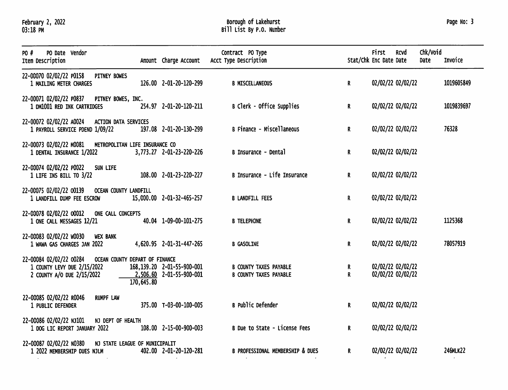February 2, 2022<br>03:18 PM

### Borough of Lakehurst<br>Bill List By P.O. Number

| PO Date Vendor<br>PO #<br>Item Description                                            | Amount Charge Account                                    | Contract PO Type<br>Acct Type Description                      | Stat/Chk Enc Date Date | <b>First</b> | <b>RCVd</b>                            | Chk/Void<br>Date | Invoice    |
|---------------------------------------------------------------------------------------|----------------------------------------------------------|----------------------------------------------------------------|------------------------|--------------|----------------------------------------|------------------|------------|
| 22-00070 02/02/22 P0158<br>PITNEY BOWES<br>1 MAILING METER CHARGES                    | 126.00 2-01-20-120-299                                   | <b>B MISCELLANEOUS</b>                                         | $\mathbf{R}$           |              | 02/02/22 02/02/22                      |                  | 1019605849 |
| 22-00071 02/02/22 P0837 PITNEY BOWES, INC.<br>1 DM1001 RED INK CARTRIDGES             | 254.97 2-01-20-120-211                                   | B Clerk - Office Supplies                                      | $\mathbf R$            |              | 02/02/22 02/02/22                      |                  | 1019839697 |
| 22-00072 02/02/22 A0024 ACTION DATA SERVICES<br>1 PAYROLL SERVICE PDEND 1/09/22       | 197.08 2-01-20-130-299                                   | B Finance - Miscellaneous                                      | $\mathbf{R}$           |              | 02/02/22 02/02/22                      |                  | 76328      |
| 22-00073 02/02/22 M0081 METROPOLITAN LIFE INSURANCE CO<br>1 DENTAL INSURANCE 1/2022   | 3,773.27 2-01-23-220-226                                 | B Insurance - Dental                                           | $\mathbf{R}$           |              | 02/02/22 02/02/22                      |                  |            |
| 22-00074 02/02/22 P0022 SUN LIFE<br>1 LIFE INS BILL TO 3/22                           | 108.00 2-01-23-220-227                                   | B Insurance - Life Insurance                                   | $\mathbf{R}$           |              | 02/02/22 02/02/22                      |                  |            |
| 22-00075 02/02/22 00139<br><b>OCEAN COUNTY LANDFILL</b><br>1 LANDFILL DUMP FEE ESCROW | 15,000.00 2-01-32-465-257                                | <b>B LANDFILL FEES</b>                                         | R.                     |              | 02/02/22 02/02/22                      |                  |            |
| 22-00078 02/02/22 00012 ONE CALL CONCEPTS<br>1 ONE CALL MESSAGES 12/21                | 40.04 1-09-00-101-275                                    | <b>B TELEPHONE</b>                                             | R.                     |              | 02/02/22 02/02/22                      |                  | 1125368    |
| 22-00083 02/02/22 W0030 WEX BANK<br>1 WAWA GAS CHARGES JAN 2022                       | 4,620.95 2-01-31-447-265                                 | <b>B GASOLINE</b>                                              | $\mathbf{R}$           |              | 02/02/22 02/02/22                      |                  | 78057919   |
| 1 COUNTY LEVY DUE 2/15/2022<br>2 COUNTY A/O DUE 2/15/2022<br>170,645.80               | 168,139.20 2-01-55-900-001<br>$2,506.60$ 2-01-55-900-001 | <b>B COUNTY TAXES PAYABLE</b><br><b>B COUNTY TAXES PAYABLE</b> | R.<br>R.               |              | 02/02/22 02/02/22<br>02/02/22 02/02/22 |                  |            |
| 22-00085 02/02/22 R0046<br><b>RUMPF LAW</b><br>1 PUBLIC DEFENDER                      | 375.00 T-03-00-100-005                                   | <b>B Public Defender</b>                                       | $\mathbf R$            |              | 02/02/22 02/02/22                      |                  |            |
| 22-00086 02/02/22 NJ101 NJ DEPT OF HEALTH<br>1 DOG LIC REPORT JANUARY 2022            | 108.00 2-15-00-900-003                                   | B Due to State - License Fees                                  | $\mathbf{R}$           |              | 02/02/22 02/02/22                      |                  |            |
| 22-00087 02/02/22 N0380 NJ STATE LEAGUE OF MUNICIPALIT<br>1 2022 MEMBERSHIP DUES NJLM | 402.00 2-01-20-120-281                                   | <b>B PROFESSIONAL MEMBERSHIP &amp; DUES</b>                    | R.                     |              | 02/02/22 02/02/22                      |                  | 246MLK22   |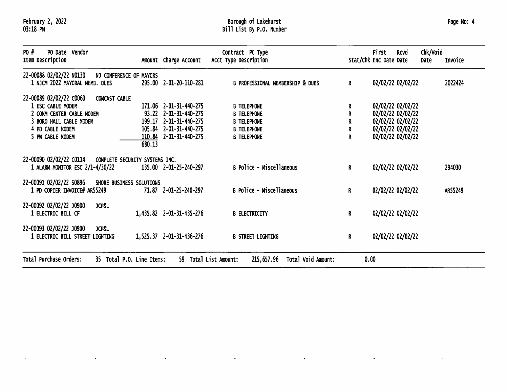February 2, 2022<br>03:18 PM

 $\mathcal{A}^{\pm}$ 

 $\sim$ 

 $\sim 10^{-10}$ 

# Borough of Lakehurst<br>Bill List By P.O. Number

| Page No: 4 |  |  |
|------------|--|--|
|------------|--|--|

| PO #<br>PO Date Vendor<br>Item Description                                                                                                                    |                                    | Amount Charge Account                                                                                           | Contract PO Type<br>Acct Type Description                                                                  |        | First<br>Stat/Chk Enc Date Date | <b>RCVO</b>                                                                                           | Chk/Void<br>Date | Invoice |
|---------------------------------------------------------------------------------------------------------------------------------------------------------------|------------------------------------|-----------------------------------------------------------------------------------------------------------------|------------------------------------------------------------------------------------------------------------|--------|---------------------------------|-------------------------------------------------------------------------------------------------------|------------------|---------|
| 22-00088 02/02/22 NO130<br>NJ CONFERENCE OF MAYORS<br>1 NJCM 2022 MAYORAL MEMB. DUES                                                                          |                                    | 295.00 2-01-20-110-281                                                                                          | <b>B PROFESSIONAL MEMBERSHIP &amp; DUES</b>                                                                | R      |                                 | 02/02/22 02/02/22                                                                                     |                  | 2022424 |
| 22-00089 02/02/22 C0060<br>COMCAST CABLE<br>1 ESC CABLE MODEM<br>2 COMM CENTER CABLE MODEM<br>3 BORO HALL CABLE MODEM<br>4 PD CABLE MODEM<br>5 PW CABLE MODEM | 199.17<br><u> 110.84</u><br>680.13 | 171.06 2-01-31-440-275<br>93.22 2-01-31-440-275<br>2-01-31-440-275<br>105.84 2-01-31-440-275<br>2-01-31-440-275 | <b>B TELEPHONE</b><br><b>B TELEPHONE</b><br><b>B TELEPHONE</b><br><b>B TELEPHONE</b><br><b>B TELEPHONE</b> | R<br>R |                                 | 02/02/22 02/02/22<br>02/02/22 02/02/22<br>02/02/22 02/02/22<br>02/02/22 02/02/22<br>02/02/22 02/02/22 |                  |         |
| 22-00090 02/02/22 C0114<br>COMPLETE SECURITY SYSTEMS INC.<br>1 ALARM MONITOR ESC 2/1-4/30/22                                                                  |                                    | 135.00 2-01-25-240-297                                                                                          | B Police - Miscellaneous                                                                                   | R.     |                                 | 02/02/22 02/02/22                                                                                     |                  | 294030  |
| 22-00091 02/02/22 S0896<br>SHORE BUSINESS SOLUTIONS<br>1 PD COPIER INVOICE# AR55249                                                                           |                                    | 71.87 2-01-25-240-297                                                                                           | B Police - Miscellaneous                                                                                   | R.     |                                 | 02/02/22 02/02/22                                                                                     |                  | AR55249 |
| 22-00092 02/02/22 J0900<br><b>JCP&amp;L</b><br>1 ELECTRIC BILL CF                                                                                             |                                    | 1,435.82 2-01-31-435-276                                                                                        | <b>B ELECTRICITY</b>                                                                                       | R      |                                 | 02/02/22 02/02/22                                                                                     |                  |         |
| 22-00093 02/02/22 J0900<br><b>JCP&amp;L</b><br>1 ELECTRIC BILL STREET LIGHTING                                                                                |                                    | 1,525.37 2-01-31-436-276                                                                                        | <b>B STREET LIGHTING</b>                                                                                   | R      |                                 | 02/02/22 02/02/22                                                                                     |                  |         |
| Total Purchase Orders:<br>35 Total P.O. Line Items:                                                                                                           |                                    | 59.                                                                                                             | Total List Amount:<br>Total Void Amount:<br>215,657.96                                                     |        | 0.00                            |                                                                                                       |                  |         |

 $\sim 100$  km s  $^{-1}$ 

 $\mathcal{L}^{\mathcal{L}}(\mathbf{z})$  . The  $\mathcal{L}^{\mathcal{L}}(\mathbf{z})$ 

 $\sim$   $\sim$ 

 $\sigma$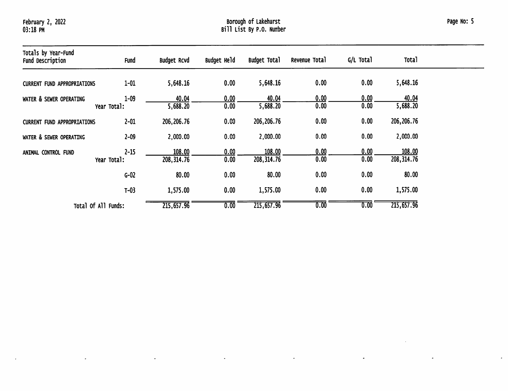$\Delta$ 

## Borough of Lakehurst<br>Bill List By P.O. Number

| Totals by Year-Fund<br><b>Fund Description</b> | <b>Fund</b>             | <b>Budget Rcvd</b>    | Budget Held  | <b>Budget Total</b>   | Revenue Total | G/L Total    | Total                 |  |
|------------------------------------------------|-------------------------|-----------------------|--------------|-----------------------|---------------|--------------|-----------------------|--|
| <b>CURRENT FUND APPROPRIATIONS</b>             | $1 - 01$                | 5,648.16              | 0.00         | 5,648.16              | 0.00          | 0.00         | 5,648.16              |  |
| WATER & SEWER OPERATING                        | $1 - 09$<br>Year Total: | 40.04<br>5,688.20     | 0.00<br>0.00 | 40.04<br>5,688.20     | 0.00<br>0.00  | 0.00<br>0.00 | 40.04<br>5,688.20     |  |
| <b>CURRENT FUND APPROPRIATIONS</b>             | $2 - 01$                | 206, 206.76           | 0.00         | 206, 206. 76          | 0.00          | 0.00         | 206,206.76            |  |
| WATER & SEWER OPERATING                        | $2 - 09$                | 2,000.00              | 0.00         | 2,000.00              | 0.00          | 0.00         | 2,000.00              |  |
| ANIMAL CONTROL FUND                            | $2 - 15$<br>Year Total: | 108.00<br>208, 314.76 | 0.00<br>0.00 | 108.00<br>208, 314.76 | 0.00<br>0.00  | 0.00<br>0.00 | 108.00<br>208, 314.76 |  |
|                                                | $G-02$                  | 80.00                 | 0.00         | 80.00                 | 0.00          | 0.00         | 80.00                 |  |
|                                                | $T-03$                  | 1,575.00              | 0.00         | 1,575.00              | 0.00          | 0.00         | 1,575.00              |  |
| Total Of All Funds:                            |                         | 215,657.96            | 0.00         | 215,657.96            | 0.00          | 0.00         | 215,657.96            |  |

 $\sim$ 

 $\omega$ 

 $\mathcal{A}$ 

 $\mathcal{L}^{\pm}$ 

 $\mathcal{A}^{\mathcal{A}}$ 

 $\hat{\phantom{a}}$ 

 $\bullet$ 

 $\langle \rangle$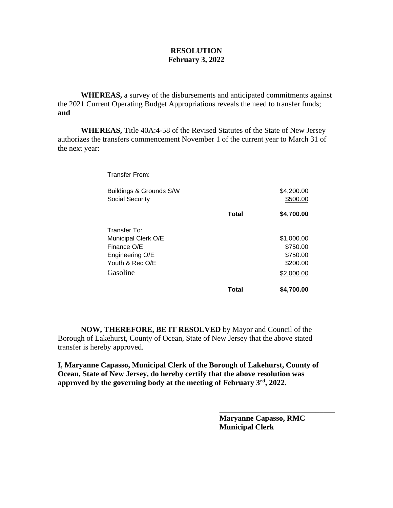#### **RESOLUTION February 3, 2022**

**WHEREAS,** a survey of the disbursements and anticipated commitments against the 2021 Current Operating Budget Appropriations reveals the need to transfer funds; **and**

**WHEREAS,** Title 40A:4-58 of the Revised Statutes of the State of New Jersey authorizes the transfers commencement November 1 of the current year to March 31 of the next year:

Transfer From:

| Buildings & Grounds S/W<br><b>Social Security</b>                                                    |       | \$4,200.00<br>\$500.00                                       |
|------------------------------------------------------------------------------------------------------|-------|--------------------------------------------------------------|
|                                                                                                      | Total | \$4,700.00                                                   |
| Transfer To:<br>Municipal Clerk O/E<br>Finance O/E<br>Engineering O/E<br>Youth & Rec O/E<br>Gasoline |       | \$1,000.00<br>\$750.00<br>\$750.00<br>\$200.00<br>\$2,000.00 |
|                                                                                                      | Total | \$4.700.00                                                   |

**NOW, THEREFORE, BE IT RESOLVED** by Mayor and Council of the Borough of Lakehurst, County of Ocean, State of New Jersey that the above stated transfer is hereby approved.

**I, Maryanne Capasso, Municipal Clerk of the Borough of Lakehurst, County of Ocean, State of New Jersey, do hereby certify that the above resolution was approved by the governing body at the meeting of February 3rd, 2022.**

> **Maryanne Capasso, RMC Municipal Clerk**

\_\_\_\_\_\_\_\_\_\_\_\_\_\_\_\_\_\_\_\_\_\_\_\_\_\_\_\_\_\_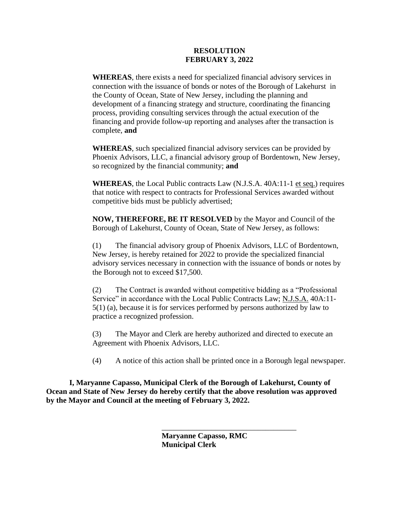#### **RESOLUTION FEBRUARY 3, 2022**

**WHEREAS**, there exists a need for specialized financial advisory services in connection with the issuance of bonds or notes of the Borough of Lakehurst in the County of Ocean, State of New Jersey, including the planning and development of a financing strategy and structure, coordinating the financing process, providing consulting services through the actual execution of the financing and provide follow-up reporting and analyses after the transaction is complete, **and**

**WHEREAS**, such specialized financial advisory services can be provided by Phoenix Advisors, LLC, a financial advisory group of Bordentown, New Jersey, so recognized by the financial community; **and**

**WHEREAS**, the Local Public contracts Law (N.J.S.A. 40A:11-1 et seq.) requires that notice with respect to contracts for Professional Services awarded without competitive bids must be publicly advertised;

**NOW, THEREFORE, BE IT RESOLVED** by the Mayor and Council of the Borough of Lakehurst, County of Ocean, State of New Jersey, as follows:

(1) The financial advisory group of Phoenix Advisors, LLC of Bordentown, New Jersey, is hereby retained for 2022 to provide the specialized financial advisory services necessary in connection with the issuance of bonds or notes by the Borough not to exceed \$17,500.

(2) The Contract is awarded without competitive bidding as a "Professional Service" in accordance with the Local Public Contracts Law; N.J.S.A. 40A:11- 5(1) (a), because it is for services performed by persons authorized by law to practice a recognized profession.

(3) The Mayor and Clerk are hereby authorized and directed to execute an Agreement with Phoenix Advisors, LLC.

(4) A notice of this action shall be printed once in a Borough legal newspaper.

\_\_\_\_\_\_\_\_\_\_\_\_\_\_\_\_\_\_\_\_\_\_\_\_\_\_\_\_\_\_\_\_\_\_\_

**I, Maryanne Capasso, Municipal Clerk of the Borough of Lakehurst, County of Ocean and State of New Jersey do hereby certify that the above resolution was approved by the Mayor and Council at the meeting of February 3, 2022.**

> **Maryanne Capasso, RMC Municipal Clerk**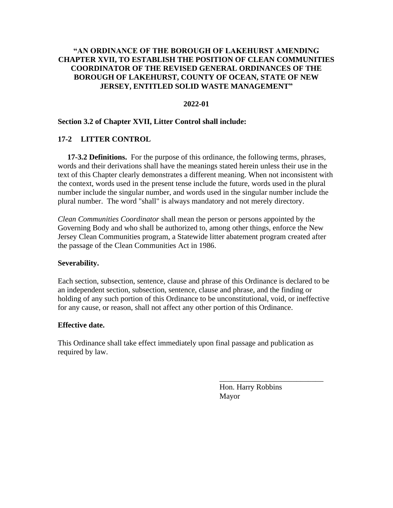#### **"AN ORDINANCE OF THE BOROUGH OF LAKEHURST AMENDING CHAPTER XVII, TO ESTABLISH THE POSITION OF CLEAN COMMUNITIES COORDINATOR OF THE REVISED GENERAL ORDINANCES OF THE BOROUGH OF LAKEHURST, COUNTY OF OCEAN, STATE OF NEW JERSEY, ENTITLED SOLID WASTE MANAGEMENT"**

#### **2022-01**

#### **Section 3.2 of Chapter XVII, Litter Control shall include:**

#### **17-2 LITTER CONTROL**

 **17-3.2 Definitions.** For the purpose of this ordinance, the following terms, phrases, words and their derivations shall have the meanings stated herein unless their use in the text of this Chapter clearly demonstrates a different meaning. When not inconsistent with the context, words used in the present tense include the future, words used in the plural number include the singular number, and words used in the singular number include the plural number. The word "shall" is always mandatory and not merely directory.

*Clean Communities Coordinator* shall mean the person or persons appointed by the Governing Body and who shall be authorized to, among other things, enforce the New Jersey Clean Communities program, a Statewide litter abatement program created after the passage of the Clean Communities Act in 1986.

#### **Severability.**

Each section, subsection, sentence, clause and phrase of this Ordinance is declared to be an independent section, subsection, sentence, clause and phrase, and the finding or holding of any such portion of this Ordinance to be unconstitutional, void, or ineffective for any cause, or reason, shall not affect any other portion of this Ordinance.

#### **Effective date.**

This Ordinance shall take effect immediately upon final passage and publication as required by law.

> Hon. Harry Robbins Mayor

\_\_\_\_\_\_\_\_\_\_\_\_\_\_\_\_\_\_\_\_\_\_\_\_\_\_\_